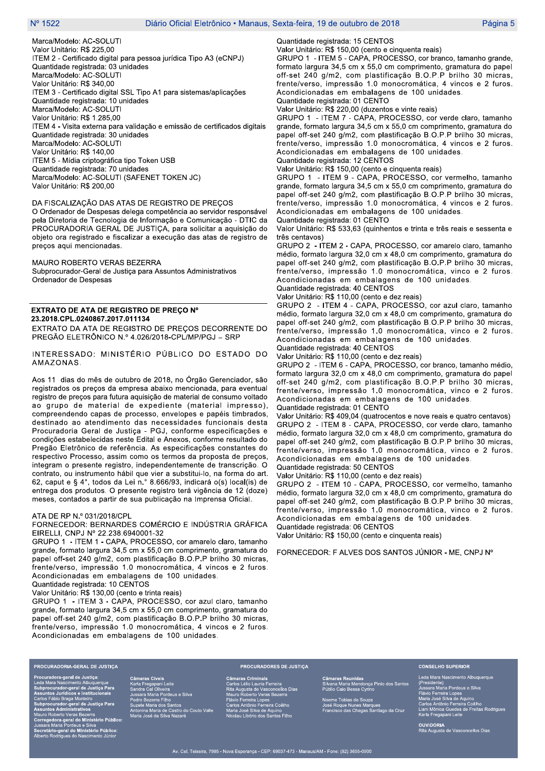Marca/Modelo: AC-SOLUTI Valor Unitário: R\$ 225.00 ITEM 2 - Certificado digital para pessoa jurídica Tipo A3 (eCNPJ) Quantidade registrada: 03 unidades Marca/Modelo: AC-SOLUTI Valor Unitário: R\$ 340,00 ITEM 3 - Certificado digital SSL Tipo A1 para sistemas/aplicações Quantidade registrada: 10 unidades Marca/Modelo: AC-SOLUTI Valor Unitário: R\$ 1.285,00 ITEM 4 - Visita externa para validação e emissão de certificados digitais Quantidade registrada: 30 unidades Marca/Modelo: AC-SOLUTI Valor Unitário: R\$ 140,00 ITEM 5 - Mídia criptográfica tipo Token USB Quantidade registrada: 70 unidades Marca/Modelo: AC-SOLUTI (SAFENET TOKEN JC) Valor Unitário: R\$ 200,00

#### DA FISCALIZAÇÃO DAS ATAS DE REGISTRO DE PREÇOS

O Ordenador de Despesas delega competência ao servidor responsável pela Diretoria de Tecnologia de Informação e Comunicação - DTIC da PROCURADORIA GERAL DE JUSTIÇA, para solicitar a aquisição do objeto ora registrado e fiscalizar a execução das atas de registro de preços aqui mencionadas.

MAURO ROBERTO VERAS BEZERRA Subprocurador-Geral de Justiça para Assuntos Administrativos Ordenador de Despesas

## EXTRATO DE ATA DE REGISTRO DE PREÇO Nº 23.2018.CPL.0240867.2017.011134

EXTRATO DA ATA DE REGISTRO DE PRECOS DECORRENTE DO PREGÃO ELETRÔNICO N.º 4.026/2018-CPL/MP/PGJ - SRP

## INTERESSADO: MINISTÉRIO PÚBLICO DO ESTADO DO AMAZONAS.

Aos 11 dias do mês de outubro de 2018, no Órgão Gerenciador, são registrados os preços da empresa abaixo mencionada, para eventual registro de preços para futura aquisição de material de consumo voltado ao grupo de material de expediente (material impresso), compreendendo capas de processo, envelopes e papéis timbrados, destinado ao atendimento das necessidades funcionais desta Procuradoria Geral de Justiça - PGJ, conforme especificações e condições estabelecidas neste Edital e Anexos, conforme resultado do Pregão Eletrônico de referência. As especificações constantes do respectivo Processo, assim como os termos da proposta de preços, integram o presente registro, independentemente de transcrição. O contrato, ou instrumento hábil que vier a substitui-lo, na forma do art. 62, caput e § 4°, todos da Lei n.º 8.666/93, indicará o(s) local(is) de entrega dos produtos. O presente registro terá vigência de 12 (doze) meses, contados a partir de sua publicação na Imprensa Oficial.

### ATA DE RP N.º 031/2018/CPL

## FORNECEDOR: BERNARDES COMÉRCIO E INDÚSTRIA GRÁFICA EIRELLI, CNPJ Nº 22.238.6940001-32

GRUPO 1 - ITEM 1 - CAPA, PROCESSO, cor amarelo claro, tamanho grande, formato largura 34,5 cm x 55,0 cm comprimento, gramatura do papel off-set 240 g/m2, com plastificação B.O.P.P brilho 30 micras, frente/verso, impressão 1.0 monocromática, 4 vincos e 2 furos. Acondicionadas em embalagens de 100 unidades.

Quantidade registrada: 10 CENTOS

Valor Unitário: R\$ 130,00 (cento e trinta reais)

GRUPO 1 - ITEM 3 - CAPA, PROCESSO, cor azul claro, tamanho grande, formato largura 34,5 cm x 55,0 cm comprimento, gramatura do papel off-set 240 g/m2, com plastificação B.O.P.P brilho 30 micras, frente/verso, impressão 1.0 monocromática, 4 vincos e 2 furos. Acondicionadas em embalagens de 100 unidades.

Quantidade registrada: 15 CENTOS

Valor Unitário: R\$ 150,00 (cento e cinquenta reais)

GRUPO 1 - ITEM 5 - CAPA, PROCESSO, cor branco, tamanho grande, formato largura 34,5 cm x 55,0 cm comprimento, gramatura do papel off-set 240 g/m2, com plastificação B.O.P.P brilho 30 micras. frente/verso, impressão 1.0 monocromática, 4 vincos e 2 furos. Acondicionadas em embalagens de 100 unidades. Quantidade registrada: 01 CENTO

Valor Unitário: R\$ 220,00 (duzentos e vinte reais)

GRUPO 1 - ITEM 7 - CAPA, PROCESSO, cor verde claro, tamanho grande, formato largura 34,5 cm x 55,0 cm comprimento, gramatura do papel off-set 240 g/m2, com plastificação B.O.P.P brilho 30 micras, frente/verso, impressão 1.0 monocromática, 4 vincos e 2 furos. Acondicionadas em embalagens de 100 unidades. Quantidade registrada: 12 CENTOS

Valor Unitário: R\$ 150,00 (cento e cinquenta reais)

GRUPO 1 - ITEM 9 - CAPA, PROCESSO, cor vermelho, tamanho grande, formato largura 34,5 cm x 55,0 cm comprimento, gramatura do papel off-set 240 g/m2, com plastificação B.O.P.P brilho 30 micras, frente/verso, impressão 1.0 monocromática, 4 vincos e 2 furos. Acondicionadas em embalagens de 100 unidades.

Quantidade registrada: 01 CENTO

Valor Unitário: R\$ 533,63 (quinhentos e trinta e três reais e sessenta e três centavos)

GRUPO 2 - ITEM 2 - CAPA, PROCESSO, cor amarelo claro, tamanho médio, formato largura 32,0 cm x 48,0 cm comprimento, gramatura do papel off-set 240 g/m2, com plastificação B.O.P.P brilho 30 micras, frente/verso, impressão 1.0 monocromática, vinco e 2 furos. Acondicionadas em embalagens de 100 unidades. Quantidade registrada: 40 CENTOS

Valor Unitário: R\$ 110,00 (cento e dez reais)

GRUPO 2 - ITEM 4 - CAPA, PROCESSO, cor azul claro, tamanho médio, formato largura 32,0 cm x 48,0 cm comprimento, gramatura do papel off-set 240 g/m2, com plastificação B.O.P.P brilho 30 micras, frente/verso, impressão 1.0 monocromática, vinco e 2 furos. Acondicionadas em embalagens de 100 unidades. Quantidade registrada: 40 CENTOS

Valor Unitário: R\$ 110,00 (cento e dez reais)

GRUPO 2 - ITEM 6 - CAPA, PROCESSO, cor branco, tamanho médio, formato largura 32,0 cm x 48,0 cm comprimento, gramatura do papel off-set 240 g/m2, com plastificação B.O.P.P brilho 30 micras, frente/verso, impressão 1.0 monocromática, vinco e 2 furos. Acondicionadas em embalagens de 100 unidades.

Quantidade registrada: 01 CENTO

Valor Unitário: R\$ 409,04 (quatrocentos e nove reais e quatro centavos) GRUPO 2 - ITEM 8 - CAPA, PROCESSO, cor verde claro, tamanho médio, formato largura 32,0 cm x 48,0 cm comprimento, gramatura do papel off-set 240 g/m2, com plastificação B.O.P.P brilho 30 micras, frente/verso, impressão 1.0 monocromática, vinco e 2 furos. Acondicionadas em embalagens de 100 unidades.

Quantidade registrada: 50 CENTOS Valor Unitário: R\$ 110,00 (cento e dez reais)

GRUPO 2 - ITEM 10 - CAPA, PROCESSO, cor vermelho, tamanho médio, formato largura 32,0 cm x 48,0 cm comprimento, gramatura do papel off-set 240 g/m2, com plastificação B.O.P.P brilho 30 micras, frente/verso, impressão 1.0 monocromática, vinco e 2 furos. Acondicionadas em embalagens de 100 unidades. Quantidade registrada: 06 CENTOS

Valor Unitário: R\$ 150,00 (cento e cinquenta reais)

FORNECEDOR: F ALVES DOS SANTOS JÚNIOR - ME, CNPJ Nº

PROCURADORIA-GERAL DE JUSTIÇA al de Justiça Mara Nascimento Albuquerque<br>procurador-geral de Justiça Pa<br>ntos Juridicos e Institucionais<br>s Fábio Braga Monteiro<br>rocurador-geral de Justiça Pa<br>ntos Administrativos intos Amiminantam<br>Co Roberto Veras Bezerra<br>egedora-geral do Ministério Público<br>artario-geral do Ministério Público:<br>etário-geral do Ministério Público:<br>to Rodrígues do Nascimento Júnior

deus e Silva ntos<br>astro do Couto Valle ida Silva Nat

## **PROCURADORES DE JUSTIÇA**

maras Criminais<br>rlos Lélio Lauria Ferreira<br>a Augusta de Vasconcellos Dias<br>nuro Roberto Veras Bezerra<br>ruio Ferreira Lopes<br>rlos António Fereira Coélho<br>ria José Silva de Aquino<br>cilau Libório dos Santos Filho

Souza<br>S Marques<br>Santiago da Cruz

### **CONSELHO SUPERIOR**

.<br>Leda Mara Nascir nto Albuguergue (Presidente)<br>Jussara Maria Pordeus e Silva<br>Flávio Ferreira Lopes<br>Maria José Silva de Aquino<br>Carlos Antônio Ferreira Coêlho<br>Liani Mônica Guedes de Freitas Rodrigues

**OUVIDORIA**<br><u>Rita Aug</u>usta de Vasconcellos Dias